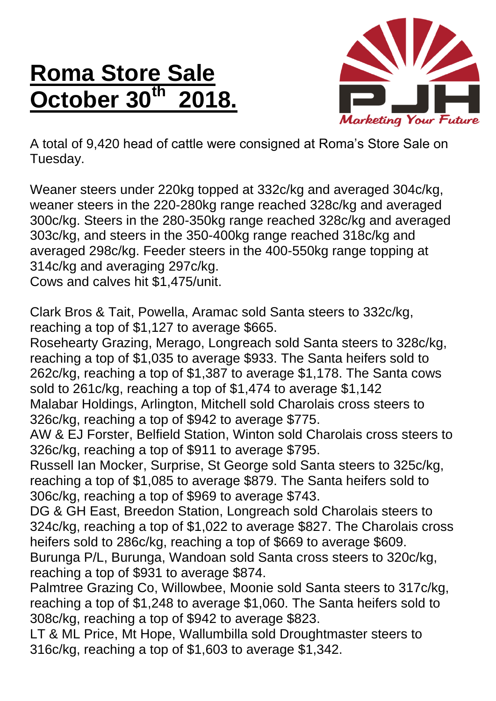## **Roma Store Sale October 30th 2018.**



A total of 9,420 head of cattle were consigned at Roma's Store Sale on Tuesday.

Weaner steers under 220kg topped at 332c/kg and averaged 304c/kg, weaner steers in the 220-280kg range reached 328c/kg and averaged 300c/kg. Steers in the 280-350kg range reached 328c/kg and averaged 303c/kg, and steers in the 350-400kg range reached 318c/kg and averaged 298c/kg. Feeder steers in the 400-550kg range topping at 314c/kg and averaging 297c/kg.

Cows and calves hit \$1,475/unit.

Clark Bros & Tait, Powella, Aramac sold Santa steers to 332c/kg, reaching a top of \$1,127 to average \$665.

Rosehearty Grazing, Merago, Longreach sold Santa steers to 328c/kg, reaching a top of \$1,035 to average \$933. The Santa heifers sold to 262c/kg, reaching a top of \$1,387 to average \$1,178. The Santa cows sold to 261c/kg, reaching a top of \$1,474 to average \$1,142 Malabar Holdings, Arlington, Mitchell sold Charolais cross steers to 326c/kg, reaching a top of \$942 to average \$775.

AW & EJ Forster, Belfield Station, Winton sold Charolais cross steers to 326c/kg, reaching a top of \$911 to average \$795.

Russell Ian Mocker, Surprise, St George sold Santa steers to 325c/kg, reaching a top of \$1,085 to average \$879. The Santa heifers sold to 306c/kg, reaching a top of \$969 to average \$743.

DG & GH East, Breedon Station, Longreach sold Charolais steers to 324c/kg, reaching a top of \$1,022 to average \$827. The Charolais cross heifers sold to 286c/kg, reaching a top of \$669 to average \$609. Burunga P/L, Burunga, Wandoan sold Santa cross steers to 320c/kg,

reaching a top of \$931 to average \$874.

Palmtree Grazing Co, Willowbee, Moonie sold Santa steers to 317c/kg, reaching a top of \$1,248 to average \$1,060. The Santa heifers sold to 308c/kg, reaching a top of \$942 to average \$823.

LT & ML Price, Mt Hope, Wallumbilla sold Droughtmaster steers to 316c/kg, reaching a top of \$1,603 to average \$1,342.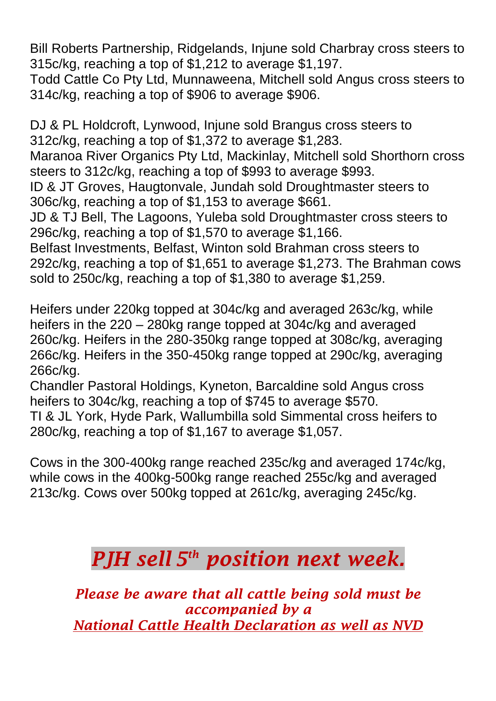Bill Roberts Partnership, Ridgelands, Injune sold Charbray cross steers to 315c/kg, reaching a top of \$1,212 to average \$1,197.

Todd Cattle Co Pty Ltd, Munnaweena, Mitchell sold Angus cross steers to 314c/kg, reaching a top of \$906 to average \$906.

DJ & PL Holdcroft, Lynwood, Injune sold Brangus cross steers to 312c/kg, reaching a top of \$1,372 to average \$1,283. Maranoa River Organics Pty Ltd, Mackinlay, Mitchell sold Shorthorn cross steers to 312c/kg, reaching a top of \$993 to average \$993. ID & JT Groves, Haugtonvale, Jundah sold Droughtmaster steers to 306c/kg, reaching a top of \$1,153 to average \$661. JD & TJ Bell, The Lagoons, Yuleba sold Droughtmaster cross steers to 296c/kg, reaching a top of \$1,570 to average \$1,166. Belfast Investments, Belfast, Winton sold Brahman cross steers to 292c/kg, reaching a top of \$1,651 to average \$1,273. The Brahman cows sold to 250c/kg, reaching a top of \$1,380 to average \$1,259.

Heifers under 220kg topped at 304c/kg and averaged 263c/kg, while heifers in the 220 – 280kg range topped at 304c/kg and averaged 260c/kg. Heifers in the 280-350kg range topped at 308c/kg, averaging 266c/kg. Heifers in the 350-450kg range topped at 290c/kg, averaging 266c/kg.

Chandler Pastoral Holdings, Kyneton, Barcaldine sold Angus cross heifers to 304c/kg, reaching a top of \$745 to average \$570.

TI & JL York, Hyde Park, Wallumbilla sold Simmental cross heifers to 280c/kg, reaching a top of \$1,167 to average \$1,057.

Cows in the 300-400kg range reached 235c/kg and averaged 174c/kg, while cows in the 400kg-500kg range reached 255c/kg and averaged 213c/kg. Cows over 500kg topped at 261c/kg, averaging 245c/kg.

## *PJH sell 5 th position next week.*

*Please be aware that all cattle being sold must be accompanied by a National Cattle Health Declaration as well as NVD*